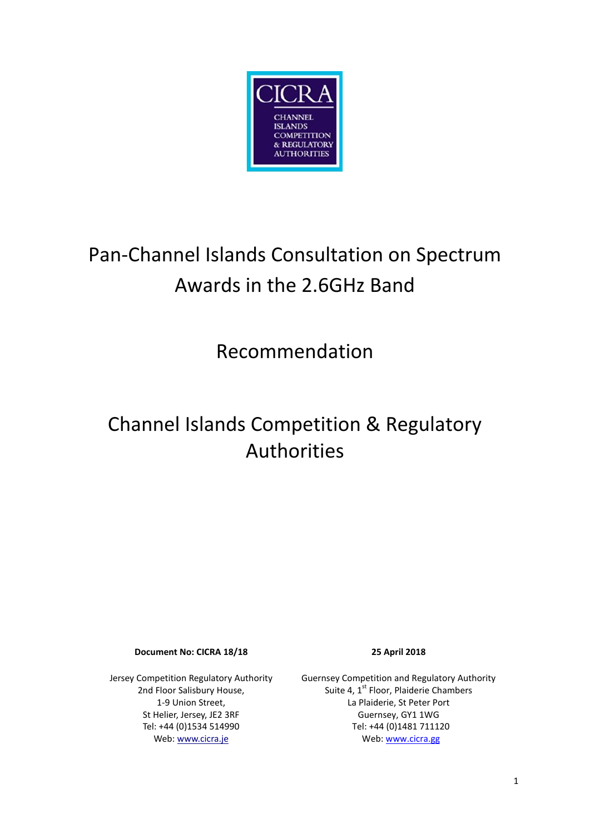

# Pan-Channel Islands Consultation on Spectrum Awards in the 2.6GHz Band

Recommendation

# Channel Islands Competition & Regulatory Authorities

**Document No: CICRA 18/18 25 April 2018**

Jersey Competition Regulatory Authority 2nd Floor Salisbury House, 1-9 Union Street, St Helier, Jersey, JE2 3RF Tel: +44 (0)1534 514990 Web: www.cicra.je

Guernsey Competition and Regulatory Authority Suite 4, 1<sup>st</sup> Floor, Plaiderie Chambers La Plaiderie, St Peter Port Guernsey, GY1 1WG Tel: +44 (0)1481 711120 Web: www.cicra.gg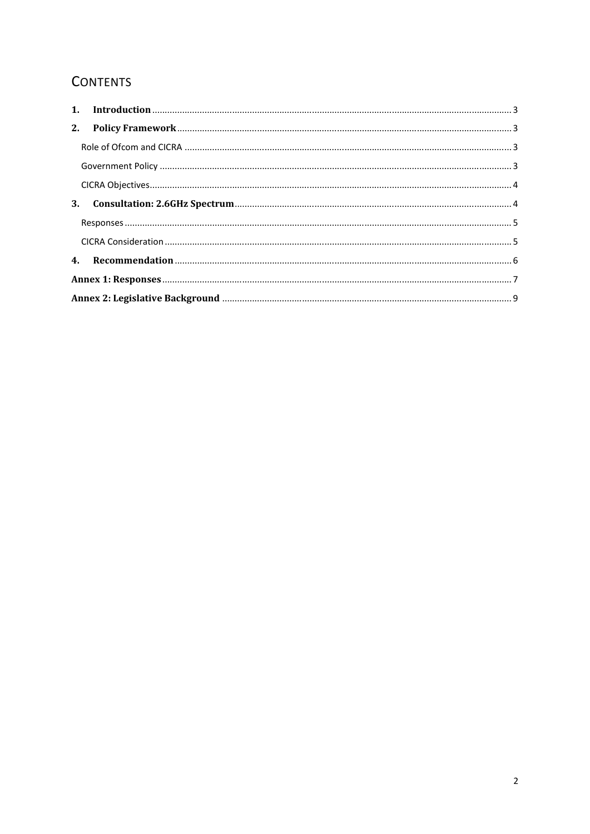# **CONTENTS**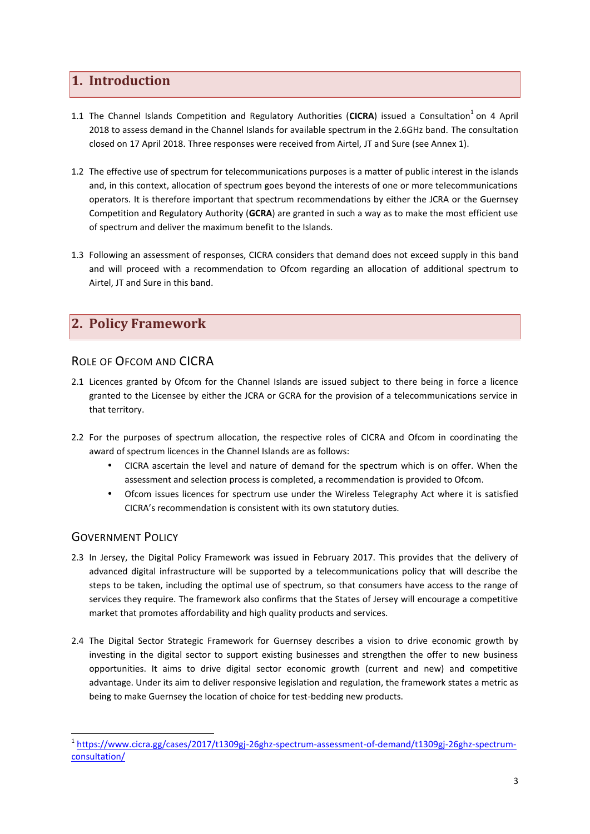## **1. Introduction**

- 1.1 The Channel Islands Competition and Regulatory Authorities (CICRA) issued a Consultation<sup>1</sup> on 4 April 2018 to assess demand in the Channel Islands for available spectrum in the 2.6GHz band. The consultation closed on 17 April 2018. Three responses were received from Airtel, JT and Sure (see Annex 1).
- 1.2 The effective use of spectrum for telecommunications purposes is a matter of public interest in the islands and, in this context, allocation of spectrum goes beyond the interests of one or more telecommunications operators. It is therefore important that spectrum recommendations by either the JCRA or the Guernsey Competition and Regulatory Authority (**GCRA**) are granted in such a way as to make the most efficient use of spectrum and deliver the maximum benefit to the Islands.
- 1.3 Following an assessment of responses, CICRA considers that demand does not exceed supply in this band and will proceed with a recommendation to Ofcom regarding an allocation of additional spectrum to Airtel, JT and Sure in this band.

# **2. Policy Framework**

### ROLE OF OFCOM AND CICRA

- 2.1 Licences granted by Ofcom for the Channel Islands are issued subject to there being in force a licence granted to the Licensee by either the JCRA or GCRA for the provision of a telecommunications service in that territory.
- 2.2 For the purposes of spectrum allocation, the respective roles of CICRA and Ofcom in coordinating the award of spectrum licences in the Channel Islands are as follows:
	- CICRA ascertain the level and nature of demand for the spectrum which is on offer. When the assessment and selection process is completed, a recommendation is provided to Ofcom.
	- Ofcom issues licences for spectrum use under the Wireless Telegraphy Act where it is satisfied CICRA's recommendation is consistent with its own statutory duties.

## GOVERNMENT POLICY

- 2.3 In Jersey, the Digital Policy Framework was issued in February 2017. This provides that the delivery of advanced digital infrastructure will be supported by a telecommunications policy that will describe the steps to be taken, including the optimal use of spectrum, so that consumers have access to the range of services they require. The framework also confirms that the States of Jersey will encourage a competitive market that promotes affordability and high quality products and services.
- 2.4 The Digital Sector Strategic Framework for Guernsey describes a vision to drive economic growth by investing in the digital sector to support existing businesses and strengthen the offer to new business opportunities. It aims to drive digital sector economic growth (current and new) and competitive advantage. Under its aim to deliver responsive legislation and regulation, the framework states a metric as being to make Guernsey the location of choice for test-bedding new products.

<sup>1</sup> https://www.cicra.gg/cases/2017/t1309gj-26ghz-spectrum-assessment-of-demand/t1309gj-26ghz-spectrum consultation/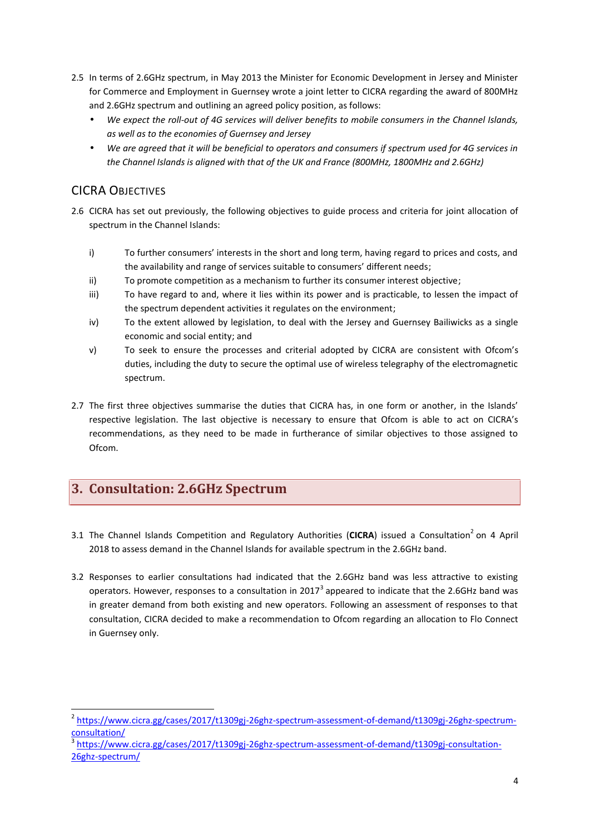- 2.5 In terms of 2.6GHz spectrum, in May 2013 the Minister for Economic Development in Jersey and Minister for Commerce and Employment in Guernsey wrote a joint letter to CICRA regarding the award of 800MHz and 2.6GHz spectrum and outlining an agreed policy position, as follows:
	- *We expect the roll-out of 4G services will deliver benefits to mobile consumers in the Channel Islands, as well as to the economies of Guernsey and Jersey*
	- *We are agreed that it will be beneficial to operators and consumers if spectrum used for 4G services in the Channel Islands is aligned with that of the UK and France (800MHz, 1800MHz and 2.6GHz)*

## CICRA OBJECTIVES

- 2.6 CICRA has set out previously, the following objectives to guide process and criteria for joint allocation of spectrum in the Channel Islands:
	- i) To further consumers' interests in the short and long term, having regard to prices and costs, and the availability and range of services suitable to consumers' different needs;
	- ii) To promote competition as a mechanism to further its consumer interest objective;
	- iii) To have regard to and, where it lies within its power and is practicable, to lessen the impact of the spectrum dependent activities it regulates on the environment;
	- iv) To the extent allowed by legislation, to deal with the Jersey and Guernsey Bailiwicks as a single economic and social entity; and
	- v) To seek to ensure the processes and criterial adopted by CICRA are consistent with Ofcom's duties, including the duty to secure the optimal use of wireless telegraphy of the electromagnetic spectrum.
- 2.7 The first three objectives summarise the duties that CICRA has, in one form or another, in the Islands' respective legislation. The last objective is necessary to ensure that Ofcom is able to act on CICRA's recommendations, as they need to be made in furtherance of similar objectives to those assigned to Ofcom.

# **3. Consultation: 2.6GHz Spectrum**

- 3.1 The Channel Islands Competition and Regulatory Authorities (CICRA) issued a Consultation<sup>2</sup> on 4 April 2018 to assess demand in the Channel Islands for available spectrum in the 2.6GHz band.
- 3.2 Responses to earlier consultations had indicated that the 2.6GHz band was less attractive to existing operators. However, responses to a consultation in 2017<sup>3</sup> appeared to indicate that the 2.6GHz band was in greater demand from both existing and new operators. Following an assessment of responses to that consultation, CICRA decided to make a recommendation to Ofcom regarding an allocation to Flo Connect in Guernsey only.

<sup>&</sup>lt;sup>2</sup> https://www.cicra.gg/cases/2017/t1309gj-26ghz-spectrum-assessment-of-demand/t1309gj-26ghz-spectrumconsultation/

<sup>3</sup> https://www.cicra.gg/cases/2017/t1309gj-26ghz-spectrum-assessment-of-demand/t1309gj-consultation- 26ghz-spectrum/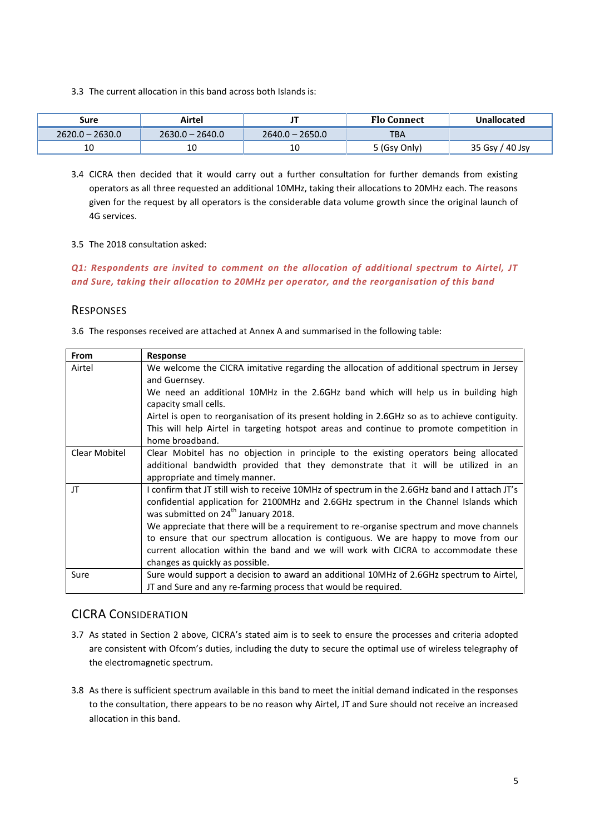3.3 The current allocation in this band across both Islands is:

| Sure              | Airtel            |                   | <b>Flo Connect</b> | Unallocated     |
|-------------------|-------------------|-------------------|--------------------|-----------------|
| $2620.0 - 2630.0$ | $2630.0 - 2640.0$ | $2640.0 - 2650.0$ | тва                |                 |
| 10                | 10                | 10                | 5 (Gsy Only)       | 35 Gsy / 40 Jsy |

3.4 CICRA then decided that it would carry out a further consultation for further demands from existing operators as all three requested an additional 10MHz, taking their allocations to 20MHz each. The reasons given for the request by all operators is the considerable data volume growth since the original launch of 4G services.

#### 3.5 The 2018 consultation asked:

*Q1: Respondents are invited to comment on the allocation of additional spectrum to Airtel, JT and Sure, taking their allocation to 20MHz per operator, and the reorganisation of this band*

#### **RESPONSES**

3.6 The responses received are attached at Annex A and summarised in the following table:

| <b>From</b>   | Response                                                                                                                                                                                                                                                                                                                                                                                                                                                                                                                                                |
|---------------|---------------------------------------------------------------------------------------------------------------------------------------------------------------------------------------------------------------------------------------------------------------------------------------------------------------------------------------------------------------------------------------------------------------------------------------------------------------------------------------------------------------------------------------------------------|
| Airtel        | We welcome the CICRA imitative regarding the allocation of additional spectrum in Jersey                                                                                                                                                                                                                                                                                                                                                                                                                                                                |
|               | and Guernsey.                                                                                                                                                                                                                                                                                                                                                                                                                                                                                                                                           |
|               | We need an additional 10MHz in the 2.6GHz band which will help us in building high<br>capacity small cells.                                                                                                                                                                                                                                                                                                                                                                                                                                             |
|               | Airtel is open to reorganisation of its present holding in 2.6GHz so as to achieve contiguity.                                                                                                                                                                                                                                                                                                                                                                                                                                                          |
|               | This will help Airtel in targeting hotspot areas and continue to promote competition in<br>home broadband.                                                                                                                                                                                                                                                                                                                                                                                                                                              |
| Clear Mobitel | Clear Mobitel has no objection in principle to the existing operators being allocated<br>additional bandwidth provided that they demonstrate that it will be utilized in an<br>appropriate and timely manner.                                                                                                                                                                                                                                                                                                                                           |
| JT            | I confirm that JT still wish to receive 10MHz of spectrum in the 2.6GHz band and I attach JT's<br>confidential application for 2100MHz and 2.6GHz spectrum in the Channel Islands which<br>was submitted on 24 <sup>th</sup> January 2018.<br>We appreciate that there will be a requirement to re-organise spectrum and move channels<br>to ensure that our spectrum allocation is contiguous. We are happy to move from our<br>current allocation within the band and we will work with CICRA to accommodate these<br>changes as quickly as possible. |
| Sure          | Sure would support a decision to award an additional 10MHz of 2.6GHz spectrum to Airtel,<br>JT and Sure and any re-farming process that would be required.                                                                                                                                                                                                                                                                                                                                                                                              |

## CICRA CONSIDERATION

- 3.7 As stated in Section 2 above, CICRA's stated aim is to seek to ensure the processes and criteria adopted are consistent with Ofcom's duties, including the duty to secure the optimal use of wireless telegraphy of the electromagnetic spectrum.
- 3.8 As there is sufficient spectrum available in this band to meet the initial demand indicated in the responses to the consultation, there appears to be no reason why Airtel, JT and Sure should not receive an increased allocation in this band.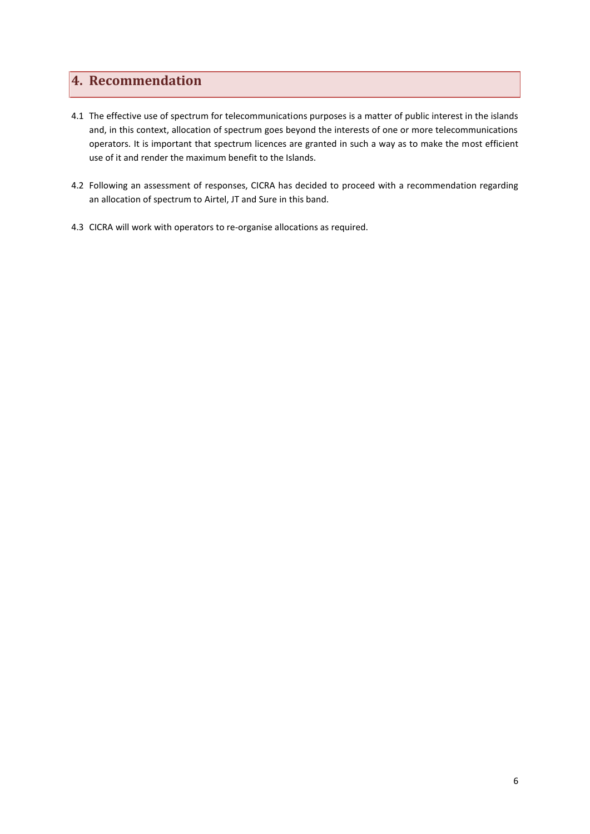# **4. Recommendation**

- 4.1 The effective use of spectrum for telecommunications purposes is a matter of public interest in the islands and, in this context, allocation of spectrum goes beyond the interests of one or more telecommunications operators. It is important that spectrum licences are granted in such a way as to make the most efficient use of it and render the maximum benefit to the Islands.
- 4.2 Following an assessment of responses, CICRA has decided to proceed with a recommendation regarding an allocation of spectrum to Airtel, JT and Sure in this band.
- 4.3 CICRA will work with operators to re-organise allocations as required.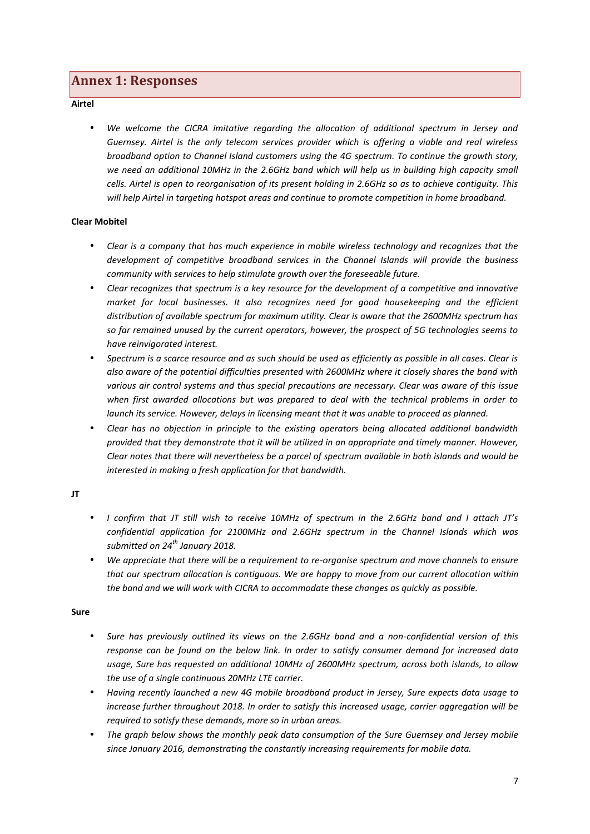## **Annex 1: Responses**

**Airtel**

 *We welcome the CICRA imitative regarding the allocation of additional spectrum in Jersey and Guernsey. Airtel is the only telecom services provider which is offering a viable and real wireless broadband option to Channel Island customers using the 4G spectrum. To continue the growth story, we need an additional 10MHz in the 2.6GHz band which will help us in building high capacity small cells. Airtel is open to reorganisation of its present holding in 2.6GHz so as to achieve contiguity. This will help Airtel in targeting hotspot areas and continue to promote competition in home broadband.*

#### **Clear Mobitel**

- *Clear is a company that has much experience in mobile wireless technology and recognizes that the development of competitive broadband services in the Channel Islands will provide the business community with services to help stimulate growth over the foreseeable future.*
- *Clear recognizes that spectrum is a key resource for the development of a competitive and innovative market for local businesses. It also recognizes need for good housekeeping and the efficient distribution of available spectrum for maximum utility. Clear is aware that the 2600MHz spectrum has so far remained unused by the current operators, however, the prospect of 5G technologies seems to have reinvigorated interest.*
- *Spectrum is a scarce resource and as such should be used as efficiently as possible in all cases. Clear is also aware of the potential difficulties presented with 2600MHz where it closely shares the band with various air control systems and thus special precautions are necessary. Clear was aware of this issue when first awarded allocations but was prepared to deal with the technical problems in order to launch its service. However, delays in licensing meant that it was unable to proceed as planned.*
- *Clear has no objection in principle to the existing operators being allocated additional bandwidth provided that they demonstrate that it will be utilized in an appropriate and timely manner. However, Clear notes that there will nevertheless be a parcel of spectrum available in both islands and would be interested in making a fresh application for that bandwidth.*

#### **JT**

- *I confirm that JT still wish to receive 10MHz of spectrum in the 2.6GHz band and I attach JT's confidential application for 2100MHz and 2.6GHz spectrum in the Channel Islands which was submitted on 24th January 2018.*
- *We appreciate that there will be a requirement to re-organise spectrum and move channels to ensure that our spectrum allocation is contiguous. We are happy to move from our current allocation within the band and we will work with CICRA to accommodate these changes as quickly as possible.*

#### **Sure**

- *Sure has previously outlined its views on the 2.6GHz band and a non-confidential version of this response can be found on the below link. In order to satisfy consumer demand for increased data usage, Sure has requested an additional 10MHz of 2600MHz spectrum, across both islands, to allow the use of a single continuous 20MHz LTE carrier.*
- *Having recently launched a new 4G mobile broadband product in Jersey, Sure expects data usage to increase further throughout 2018. In order to satisfy this increased usage, carrier aggregation will be required to satisfy these demands, more so in urban areas.*
- *The graph below shows the monthly peak data consumption of the Sure Guernsey and Jersey mobile since January 2016, demonstrating the constantly increasing requirements for mobile data.*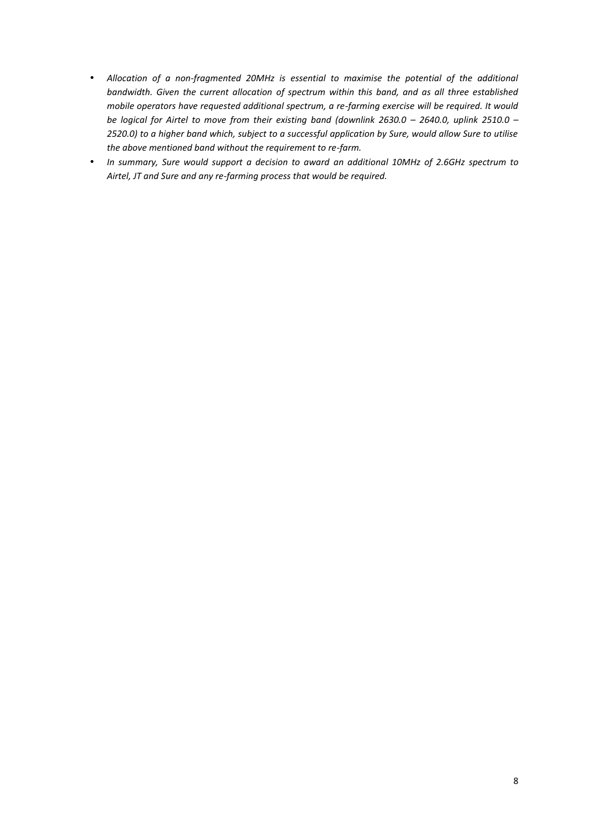- *Allocation of a non-fragmented 20MHz is essential to maximise the potential of the additional bandwidth. Given the current allocation of spectrum within this band, and as all three established mobile operators have requested additional spectrum, a re-farming exercise will be required. It would be logical for Airtel to move from their existing band (downlink 2630.0 – 2640.0, uplink 2510.0 – 2520.0) to a higher band which, subject to a successful application by Sure, would allow Sure to utilise the above mentioned band without the requirement to re-farm.*
- *In summary, Sure would support a decision to award an additional 10MHz of 2.6GHz spectrum to Airtel, JT and Sure and any re-farming process that would be required.*